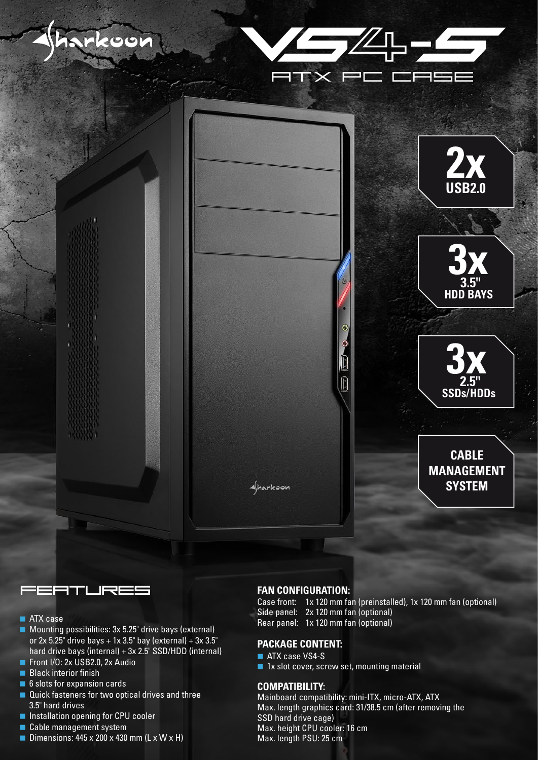



- **ATX** case
- Mounting possibilities: 3x 5.25" drive bays (external) or  $2x$  5.25" drive bays + 1x 3.5" bay (external) +  $3x$  3.5" hard drive bays (internal) + 3x 2.5" SSD/HDD (internal)
- Front I/O: 2x USB2.0, 2x Audio
- Black interior finish
- 6 slots for expansion cards
- Quick fasteners for two optical drives and three 3.5" hard drives
- **Installation opening for CPU cooler**
- Cable management system
- Dimensions:  $445 \times 200 \times 430$  mm (L x W  $\times$  H)

### **FAN CONFIGURATION:**

- Case front: 1x 120 mm fan (preinstalled), 1x 120 mm fan (optional) Side panel: 2x 120 mm fan (optional)
- Rear panel: 1x 120 mm fan (optional)

### **PACKAGE CONTENT:**

#### **ATX case VS4-S**

■ 1x slot cover, screw set, mounting material

### **COMPATIBILITY:**

Mainboard compatibility: mini-ITX, micro-ATX, ATX Max. length graphics card: 31/38.5 cm (after removing the SSD hard drive cage) Max. height CPU cooler: 16 cm Max. length PSU: 25 cm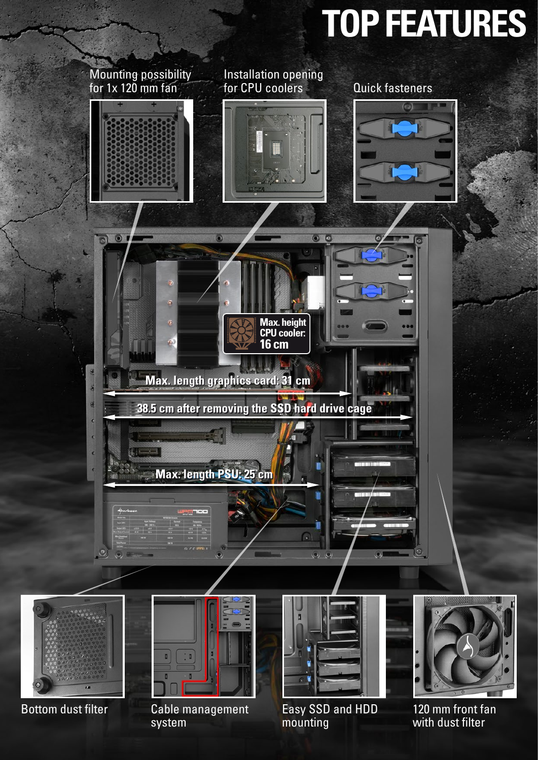# **TOP FEATURES**



Bottom dust filter hand Cable management has been been and HDD and 120 mm front fan Cable management system

mounting